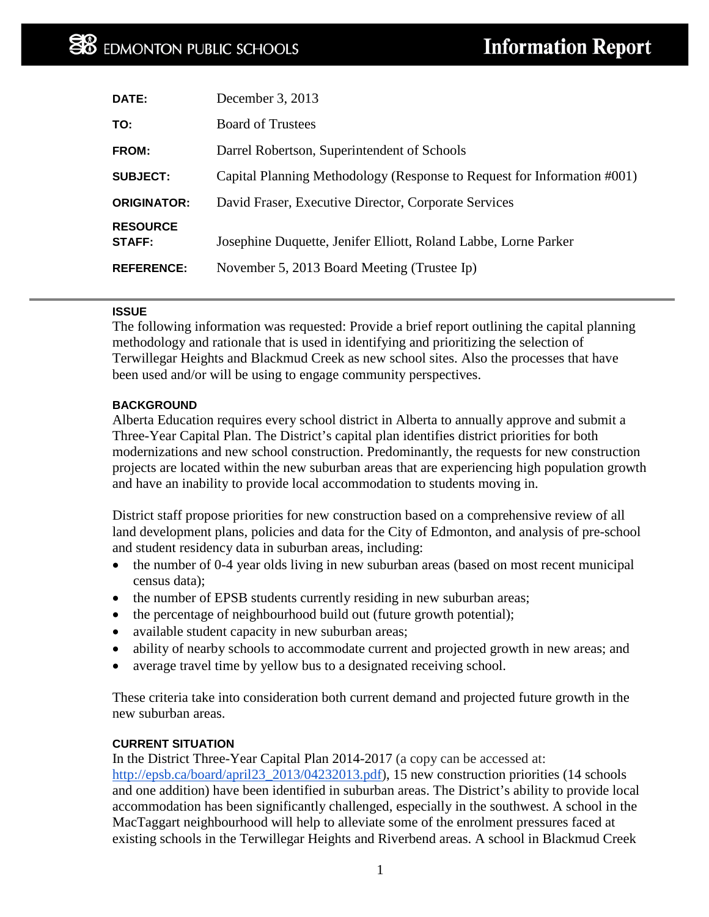| <b>Board of Trustees</b><br>TO:<br>Darrel Robertson, Superintendent of Schools<br>FROM:<br>Capital Planning Methodology (Response to Request for Information #001)<br>David Fraser, Executive Director, Corporate Services<br><b>RESOURCE</b><br>Josephine Duquette, Jenifer Elliott, Roland Labbe, Lorne Parker<br><b>STAFF:</b><br>November 5, 2013 Board Meeting (Trustee Ip) | DATE:              | December 3, 2013 |
|----------------------------------------------------------------------------------------------------------------------------------------------------------------------------------------------------------------------------------------------------------------------------------------------------------------------------------------------------------------------------------|--------------------|------------------|
|                                                                                                                                                                                                                                                                                                                                                                                  |                    |                  |
|                                                                                                                                                                                                                                                                                                                                                                                  |                    |                  |
|                                                                                                                                                                                                                                                                                                                                                                                  | <b>SUBJECT:</b>    |                  |
|                                                                                                                                                                                                                                                                                                                                                                                  | <b>ORIGINATOR:</b> |                  |
|                                                                                                                                                                                                                                                                                                                                                                                  |                    |                  |
|                                                                                                                                                                                                                                                                                                                                                                                  | <b>REFERENCE:</b>  |                  |

#### **ISSUE**

The following information was requested: Provide a brief report outlining the capital planning methodology and rationale that is used in identifying and prioritizing the selection of Terwillegar Heights and Blackmud Creek as new school sites. Also the processes that have been used and/or will be using to engage community perspectives.

### **BACKGROUND**

Alberta Education requires every school district in Alberta to annually approve and submit a Three-Year Capital Plan. The District's capital plan identifies district priorities for both modernizations and new school construction. Predominantly, the requests for new construction projects are located within the new suburban areas that are experiencing high population growth and have an inability to provide local accommodation to students moving in.

District staff propose priorities for new construction based on a comprehensive review of all land development plans, policies and data for the City of Edmonton, and analysis of pre-school and student residency data in suburban areas, including:

- the number of 0-4 year olds living in new suburban areas (based on most recent municipal census data);
- the number of EPSB students currently residing in new suburban areas;
- the percentage of neighbourhood build out (future growth potential);
- available student capacity in new suburban areas;
- ability of nearby schools to accommodate current and projected growth in new areas; and
- average travel time by yellow bus to a designated receiving school.

These criteria take into consideration both current demand and projected future growth in the new suburban areas.

#### **CURRENT SITUATION**

In the District Three-Year Capital Plan 2014-2017 (a copy can be accessed at: [http://epsb.ca/board/april23\\_2013/04232013.pdf\)](http://epsb.ca/board/april23_2013/04232013.pdf), 15 new construction priorities (14 schools and one addition) have been identified in suburban areas. The District's ability to provide local accommodation has been significantly challenged, especially in the southwest. A school in the MacTaggart neighbourhood will help to alleviate some of the enrolment pressures faced at existing schools in the Terwillegar Heights and Riverbend areas. A school in Blackmud Creek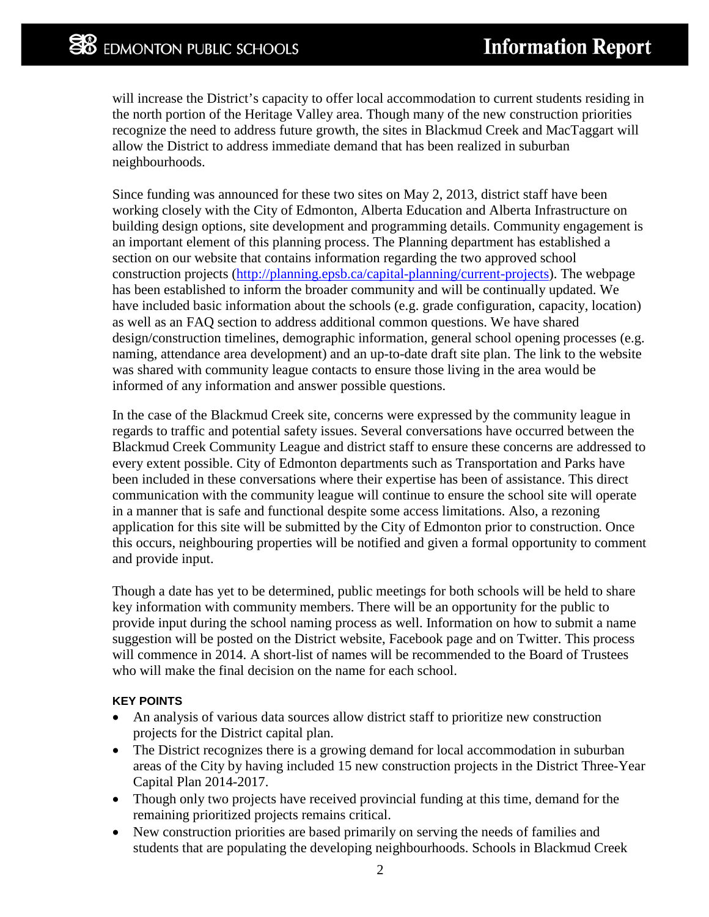will increase the District's capacity to offer local accommodation to current students residing in the north portion of the Heritage Valley area. Though many of the new construction priorities recognize the need to address future growth, the sites in Blackmud Creek and MacTaggart will allow the District to address immediate demand that has been realized in suburban neighbourhoods.

Since funding was announced for these two sites on May 2, 2013, district staff have been working closely with the City of Edmonton, Alberta Education and Alberta Infrastructure on building design options, site development and programming details. Community engagement is an important element of this planning process. The Planning department has established a section on our website that contains information regarding the two approved school construction projects [\(http://planning.epsb.ca/capital-planning/current-projects\)](http://planning.epsb.ca/capital-planning/current-projects). The webpage has been established to inform the broader community and will be continually updated. We have included basic information about the schools (e.g. grade configuration, capacity, location) as well as an FAQ section to address additional common questions. We have shared design/construction timelines, demographic information, general school opening processes (e.g. naming, attendance area development) and an up-to-date draft site plan. The link to the website was shared with community league contacts to ensure those living in the area would be informed of any information and answer possible questions.

In the case of the Blackmud Creek site, concerns were expressed by the community league in regards to traffic and potential safety issues. Several conversations have occurred between the Blackmud Creek Community League and district staff to ensure these concerns are addressed to every extent possible. City of Edmonton departments such as Transportation and Parks have been included in these conversations where their expertise has been of assistance. This direct communication with the community league will continue to ensure the school site will operate in a manner that is safe and functional despite some access limitations. Also, a rezoning application for this site will be submitted by the City of Edmonton prior to construction. Once this occurs, neighbouring properties will be notified and given a formal opportunity to comment and provide input.

Though a date has yet to be determined, public meetings for both schools will be held to share key information with community members. There will be an opportunity for the public to provide input during the school naming process as well. Information on how to submit a name suggestion will be posted on the District website, Facebook page and on Twitter. This process will commence in 2014. A short-list of names will be recommended to the Board of Trustees who will make the final decision on the name for each school.

## **KEY POINTS**

- An analysis of various data sources allow district staff to prioritize new construction projects for the District capital plan.
- The District recognizes there is a growing demand for local accommodation in suburban areas of the City by having included 15 new construction projects in the District Three-Year Capital Plan 2014-2017.
- Though only two projects have received provincial funding at this time, demand for the remaining prioritized projects remains critical.
- New construction priorities are based primarily on serving the needs of families and students that are populating the developing neighbourhoods. Schools in Blackmud Creek